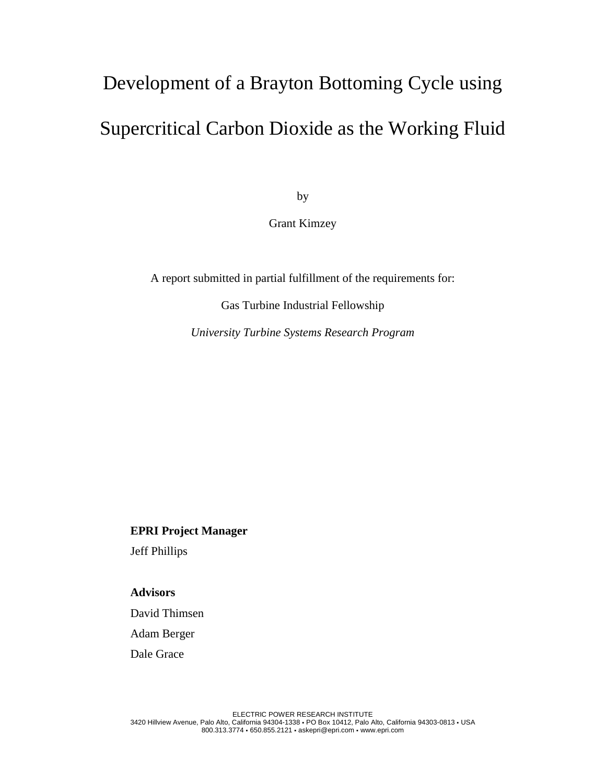# Development of a Brayton Bottoming Cycle using Supercritical Carbon Dioxide as the Working Fluid

by

Grant Kimzey

A report submitted in partial fulfillment of the requirements for:

Gas Turbine Industrial Fellowship

*University Turbine Systems Research Program*

**EPRI Project Manager**

Jeff Phillips

**Advisors**

David Thimsen

Adam Berger

Dale Grace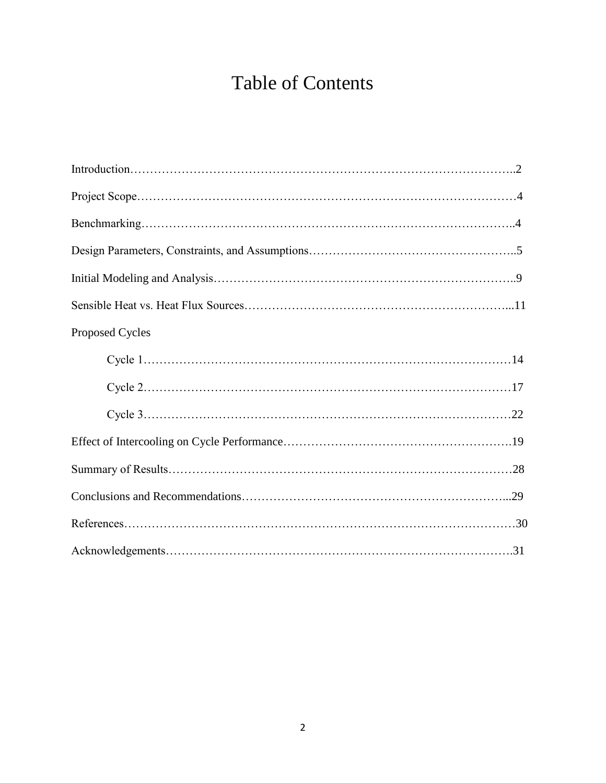# Table of Contents

| Proposed Cycles |  |
|-----------------|--|
|                 |  |
|                 |  |
|                 |  |
|                 |  |
|                 |  |
|                 |  |
|                 |  |
|                 |  |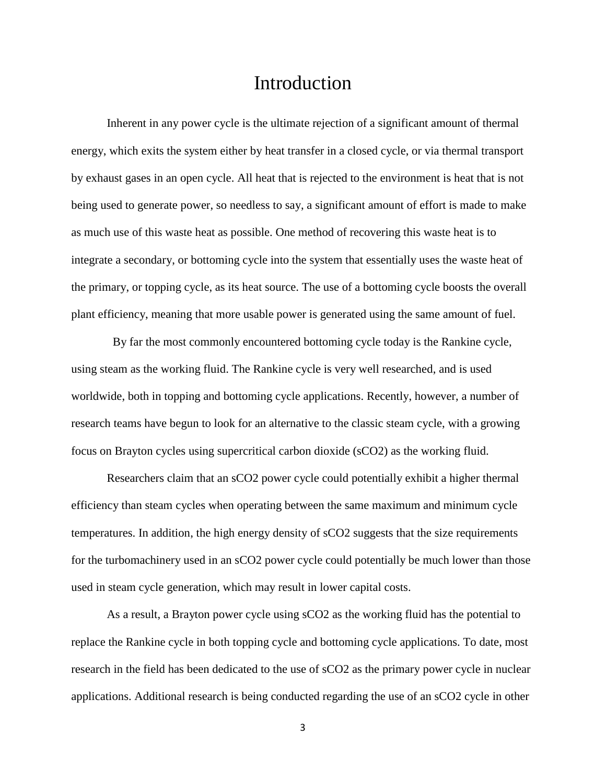### Introduction

Inherent in any power cycle is the ultimate rejection of a significant amount of thermal energy, which exits the system either by heat transfer in a closed cycle, or via thermal transport by exhaust gases in an open cycle. All heat that is rejected to the environment is heat that is not being used to generate power, so needless to say, a significant amount of effort is made to make as much use of this waste heat as possible. One method of recovering this waste heat is to integrate a secondary, or bottoming cycle into the system that essentially uses the waste heat of the primary, or topping cycle, as its heat source. The use of a bottoming cycle boosts the overall plant efficiency, meaning that more usable power is generated using the same amount of fuel.

 By far the most commonly encountered bottoming cycle today is the Rankine cycle, using steam as the working fluid. The Rankine cycle is very well researched, and is used worldwide, both in topping and bottoming cycle applications. Recently, however, a number of research teams have begun to look for an alternative to the classic steam cycle, with a growing focus on Brayton cycles using supercritical carbon dioxide (sCO2) as the working fluid.

Researchers claim that an sCO2 power cycle could potentially exhibit a higher thermal efficiency than steam cycles when operating between the same maximum and minimum cycle temperatures. In addition, the high energy density of sCO2 suggests that the size requirements for the turbomachinery used in an sCO2 power cycle could potentially be much lower than those used in steam cycle generation, which may result in lower capital costs.

As a result, a Brayton power cycle using sCO2 as the working fluid has the potential to replace the Rankine cycle in both topping cycle and bottoming cycle applications. To date, most research in the field has been dedicated to the use of sCO2 as the primary power cycle in nuclear applications. Additional research is being conducted regarding the use of an sCO2 cycle in other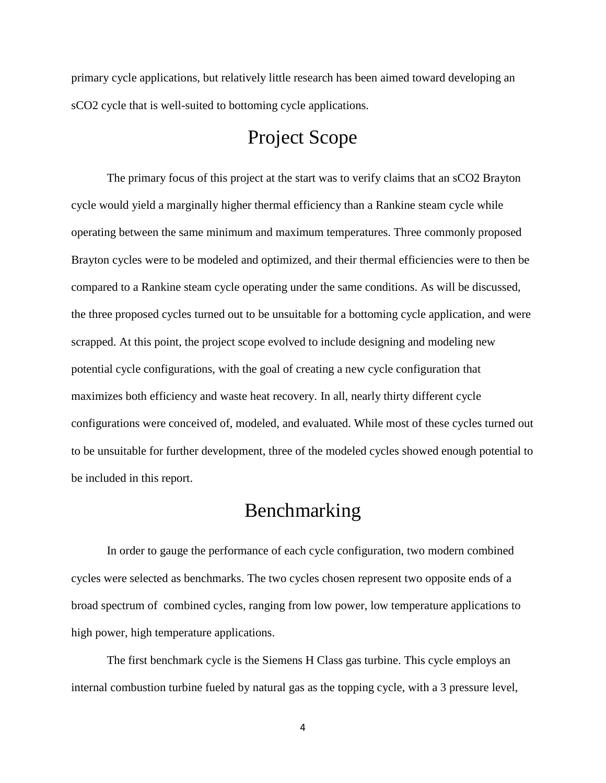primary cycle applications, but relatively little research has been aimed toward developing an sCO2 cycle that is well-suited to bottoming cycle applications.

# Project Scope

The primary focus of this project at the start was to verify claims that an sCO2 Brayton cycle would yield a marginally higher thermal efficiency than a Rankine steam cycle while operating between the same minimum and maximum temperatures. Three commonly proposed Brayton cycles were to be modeled and optimized, and their thermal efficiencies were to then be compared to a Rankine steam cycle operating under the same conditions. As will be discussed, the three proposed cycles turned out to be unsuitable for a bottoming cycle application, and were scrapped. At this point, the project scope evolved to include designing and modeling new potential cycle configurations, with the goal of creating a new cycle configuration that maximizes both efficiency and waste heat recovery. In all, nearly thirty different cycle configurations were conceived of, modeled, and evaluated. While most of these cycles turned out to be unsuitable for further development, three of the modeled cycles showed enough potential to be included in this report.

# Benchmarking

In order to gauge the performance of each cycle configuration, two modern combined cycles were selected as benchmarks. The two cycles chosen represent two opposite ends of a broad spectrum of combined cycles, ranging from low power, low temperature applications to high power, high temperature applications.

The first benchmark cycle is the Siemens H Class gas turbine. This cycle employs an internal combustion turbine fueled by natural gas as the topping cycle, with a 3 pressure level,

4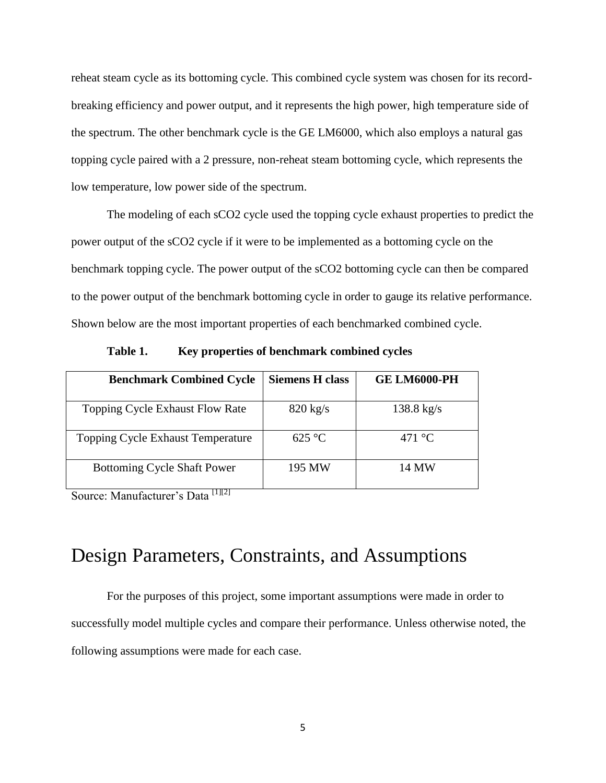reheat steam cycle as its bottoming cycle. This combined cycle system was chosen for its recordbreaking efficiency and power output, and it represents the high power, high temperature side of the spectrum. The other benchmark cycle is the GE LM6000, which also employs a natural gas topping cycle paired with a 2 pressure, non-reheat steam bottoming cycle, which represents the low temperature, low power side of the spectrum.

The modeling of each sCO2 cycle used the topping cycle exhaust properties to predict the power output of the sCO2 cycle if it were to be implemented as a bottoming cycle on the benchmark topping cycle. The power output of the sCO2 bottoming cycle can then be compared to the power output of the benchmark bottoming cycle in order to gauge its relative performance. Shown below are the most important properties of each benchmarked combined cycle.

| <b>Benchmark Combined Cycle</b>    | <b>Siemens H class</b> | <b>GE LM6000-PH</b>      |
|------------------------------------|------------------------|--------------------------|
| Topping Cycle Exhaust Flow Rate    | $820 \text{ kg/s}$     | $138.8 \text{ kg/s}$     |
| Topping Cycle Exhaust Temperature  | $625\text{ °C}$        | 471 $\mathrm{^{\circ}C}$ |
| <b>Bottoming Cycle Shaft Power</b> | 195 MW                 | 14 MW                    |

**Table 1. Key properties of benchmark combined cycles**

Source: Manufacturer's Data<sup>[1][2]</sup>

# Design Parameters, Constraints, and Assumptions

For the purposes of this project, some important assumptions were made in order to successfully model multiple cycles and compare their performance. Unless otherwise noted, the following assumptions were made for each case.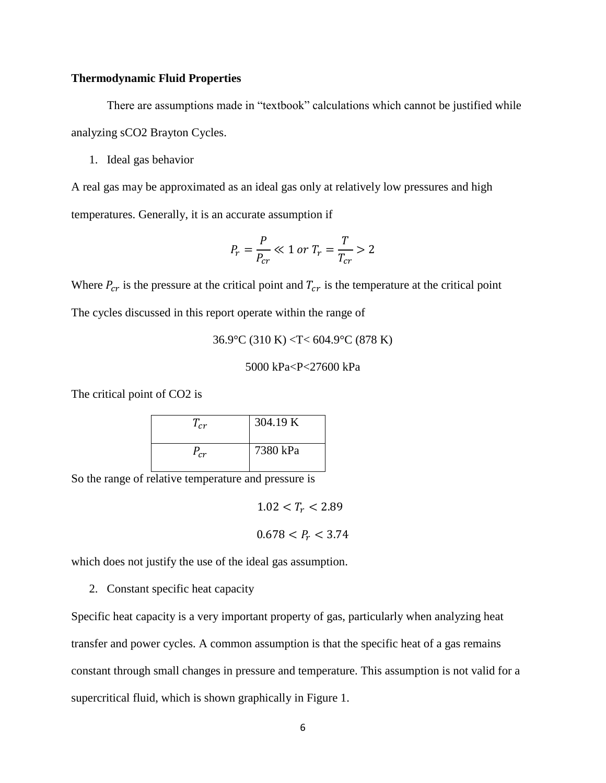### **Thermodynamic Fluid Properties**

There are assumptions made in "textbook" calculations which cannot be justified while analyzing sCO2 Brayton Cycles.

1. Ideal gas behavior

A real gas may be approximated as an ideal gas only at relatively low pressures and high temperatures. Generally, it is an accurate assumption if

$$
P_r = \frac{P}{P_{cr}} \ll 1 \text{ or } T_r = \frac{T}{T_{cr}} > 2
$$

Where  $P_{cr}$  is the pressure at the critical point and  $T_{cr}$  is the temperature at the critical point The cycles discussed in this report operate within the range of

36.9°C (310 K) <T< 604.9°C (878 K)

5000 kPa<P<27600 kPa

The critical point of CO2 is

| $T_{cr}$ | 304.19 K |
|----------|----------|
| $P_{cr}$ | 7380 kPa |

So the range of relative temperature and pressure is

 $1.02 < T_r < 2.89$ 

 $0.678 < P_r < 3.74$ 

which does not justify the use of the ideal gas assumption.

2. Constant specific heat capacity

Specific heat capacity is a very important property of gas, particularly when analyzing heat transfer and power cycles. A common assumption is that the specific heat of a gas remains constant through small changes in pressure and temperature. This assumption is not valid for a supercritical fluid, which is shown graphically in Figure 1.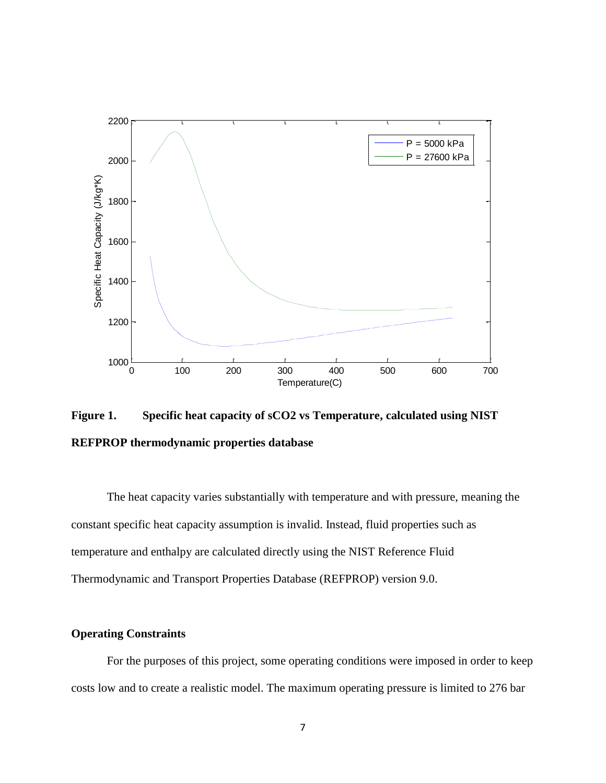

**Figure 1. Specific heat capacity of sCO2 vs Temperature, calculated using NIST REFPROP thermodynamic properties database**

The heat capacity varies substantially with temperature and with pressure, meaning the constant specific heat capacity assumption is invalid. Instead, fluid properties such as temperature and enthalpy are calculated directly using the NIST Reference Fluid Thermodynamic and Transport Properties Database (REFPROP) version 9.0.

### **Operating Constraints**

For the purposes of this project, some operating conditions were imposed in order to keep costs low and to create a realistic model. The maximum operating pressure is limited to 276 bar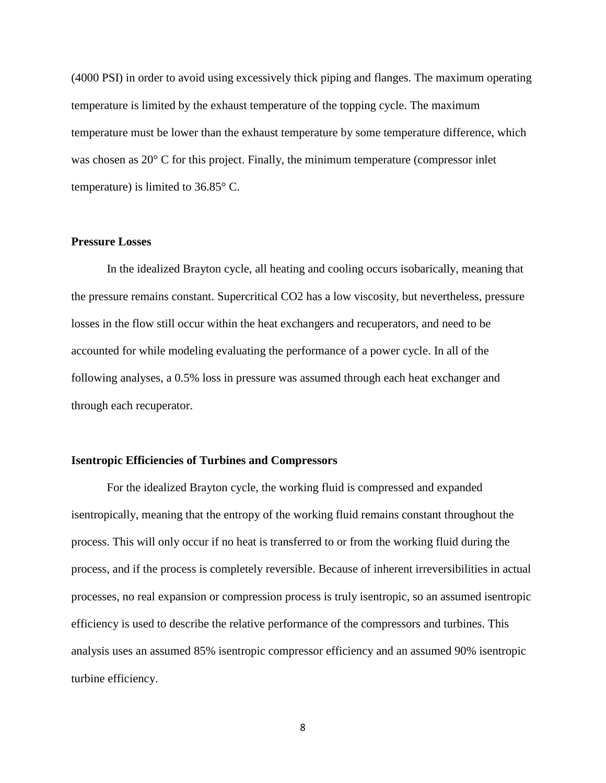(4000 PSI) in order to avoid using excessively thick piping and flanges. The maximum operating temperature is limited by the exhaust temperature of the topping cycle. The maximum temperature must be lower than the exhaust temperature by some temperature difference, which was chosen as 20 $\degree$  C for this project. Finally, the minimum temperature (compressor inlet temperature) is limited to 36.85° C.

### **Pressure Losses**

In the idealized Brayton cycle, all heating and cooling occurs isobarically, meaning that the pressure remains constant. Supercritical CO2 has a low viscosity, but nevertheless, pressure losses in the flow still occur within the heat exchangers and recuperators, and need to be accounted for while modeling evaluating the performance of a power cycle. In all of the following analyses, a 0.5% loss in pressure was assumed through each heat exchanger and through each recuperator.

#### **Isentropic Efficiencies of Turbines and Compressors**

For the idealized Brayton cycle, the working fluid is compressed and expanded isentropically, meaning that the entropy of the working fluid remains constant throughout the process. This will only occur if no heat is transferred to or from the working fluid during the process, and if the process is completely reversible. Because of inherent irreversibilities in actual processes, no real expansion or compression process is truly isentropic, so an assumed isentropic efficiency is used to describe the relative performance of the compressors and turbines. This analysis uses an assumed 85% isentropic compressor efficiency and an assumed 90% isentropic turbine efficiency.

8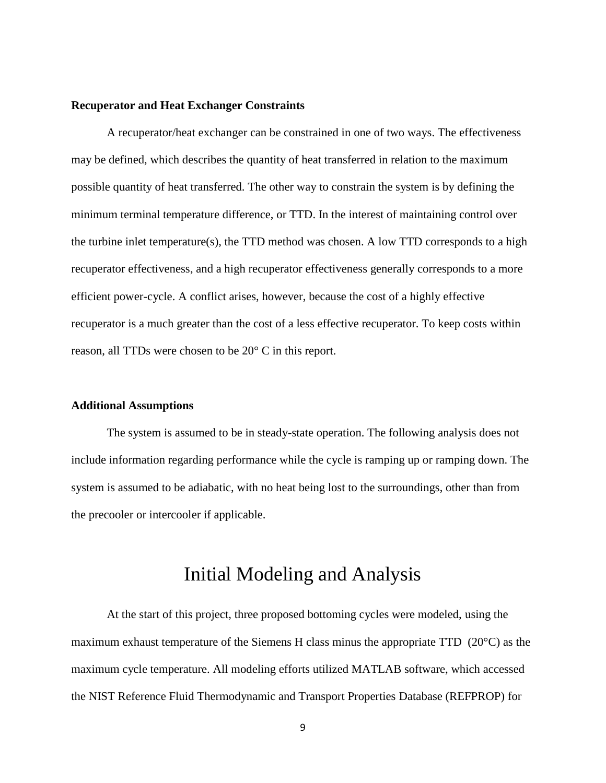### **Recuperator and Heat Exchanger Constraints**

A recuperator/heat exchanger can be constrained in one of two ways. The effectiveness may be defined, which describes the quantity of heat transferred in relation to the maximum possible quantity of heat transferred. The other way to constrain the system is by defining the minimum terminal temperature difference, or TTD. In the interest of maintaining control over the turbine inlet temperature(s), the TTD method was chosen. A low TTD corresponds to a high recuperator effectiveness, and a high recuperator effectiveness generally corresponds to a more efficient power-cycle. A conflict arises, however, because the cost of a highly effective recuperator is a much greater than the cost of a less effective recuperator. To keep costs within reason, all TTDs were chosen to be 20° C in this report.

### **Additional Assumptions**

The system is assumed to be in steady-state operation. The following analysis does not include information regarding performance while the cycle is ramping up or ramping down. The system is assumed to be adiabatic, with no heat being lost to the surroundings, other than from the precooler or intercooler if applicable.

### Initial Modeling and Analysis

At the start of this project, three proposed bottoming cycles were modeled, using the maximum exhaust temperature of the Siemens H class minus the appropriate TTD (20°C) as the maximum cycle temperature. All modeling efforts utilized MATLAB software, which accessed the NIST Reference Fluid Thermodynamic and Transport Properties Database (REFPROP) for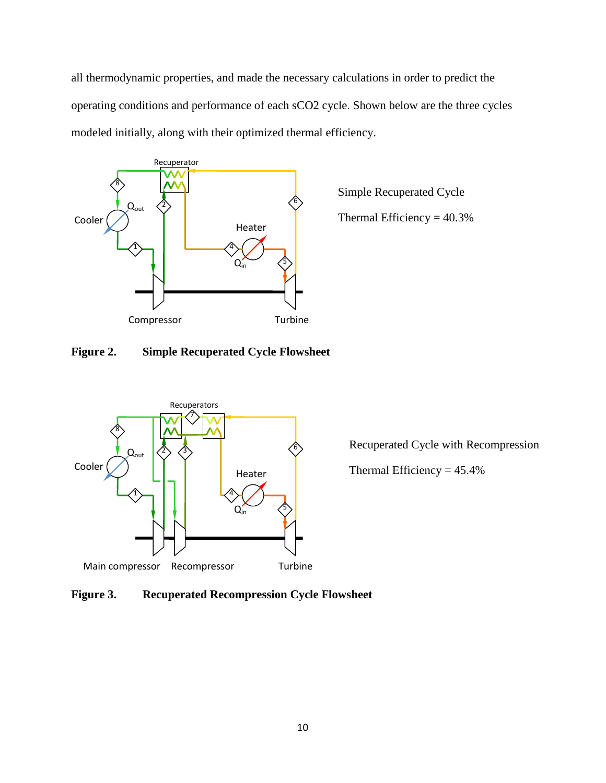all thermodynamic properties, and made the necessary calculations in order to predict the operating conditions and performance of each sCO2 cycle. Shown below are the three cycles modeled initially, along with their optimized thermal efficiency.



Simple Recuperated Cycle Thermal Efficiency  $= 40.3\%$ 

### **Figure 2. Simple Recuperated Cycle Flowsheet**



Recuperated Cycle with Recompression

Thermal Efficiency  $= 45.4\%$ 

**Figure 3. Recuperated Recompression Cycle Flowsheet**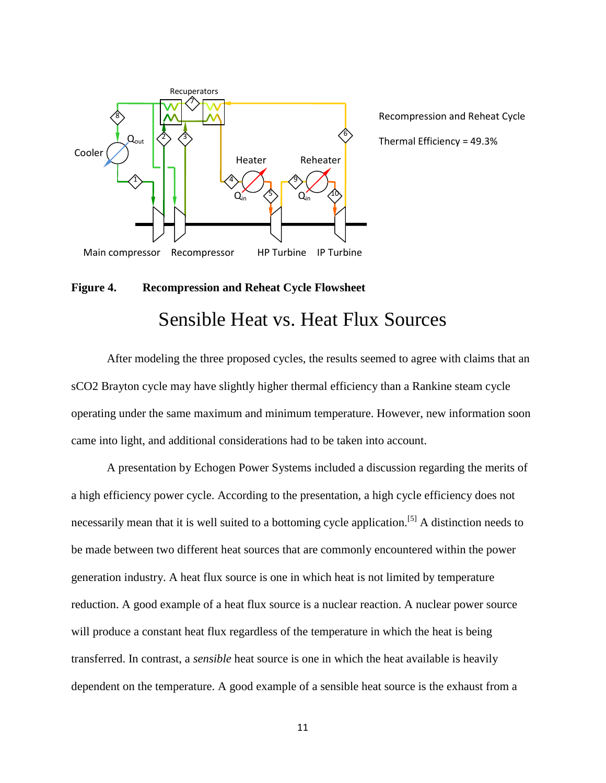

Recompression and Reheat Cycle Thermal Efficiency = 49.3%

### **Figure 4. Recompression and Reheat Cycle Flowsheet**

### Sensible Heat vs. Heat Flux Sources

After modeling the three proposed cycles, the results seemed to agree with claims that an sCO2 Brayton cycle may have slightly higher thermal efficiency than a Rankine steam cycle operating under the same maximum and minimum temperature. However, new information soon came into light, and additional considerations had to be taken into account.

A presentation by Echogen Power Systems included a discussion regarding the merits of a high efficiency power cycle. According to the presentation, a high cycle efficiency does not necessarily mean that it is well suited to a bottoming cycle application.<sup>[5]</sup> A distinction needs to be made between two different heat sources that are commonly encountered within the power generation industry. A heat flux source is one in which heat is not limited by temperature reduction. A good example of a heat flux source is a nuclear reaction. A nuclear power source will produce a constant heat flux regardless of the temperature in which the heat is being transferred. In contrast, a *sensible* heat source is one in which the heat available is heavily dependent on the temperature. A good example of a sensible heat source is the exhaust from a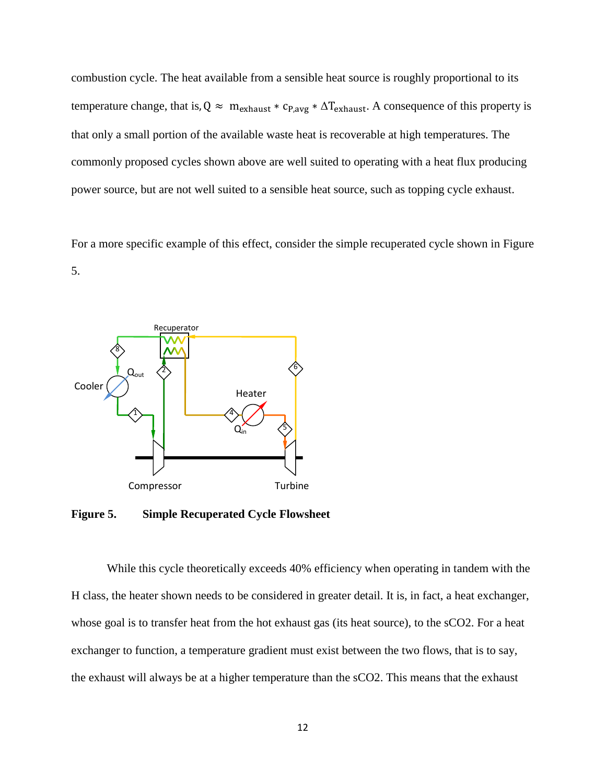combustion cycle. The heat available from a sensible heat source is roughly proportional to its temperature change, that is,  $Q \approx m_{\text{exhaust}} * c_{P,avg} * \Delta T_{\text{exhaust}}$ . A consequence of this property is that only a small portion of the available waste heat is recoverable at high temperatures. The commonly proposed cycles shown above are well suited to operating with a heat flux producing power source, but are not well suited to a sensible heat source, such as topping cycle exhaust.

For a more specific example of this effect, consider the simple recuperated cycle shown in Figure 5.



**Figure 5. Simple Recuperated Cycle Flowsheet**

While this cycle theoretically exceeds 40% efficiency when operating in tandem with the H class, the heater shown needs to be considered in greater detail. It is, in fact, a heat exchanger, whose goal is to transfer heat from the hot exhaust gas (its heat source), to the sCO2. For a heat exchanger to function, a temperature gradient must exist between the two flows, that is to say, the exhaust will always be at a higher temperature than the sCO2. This means that the exhaust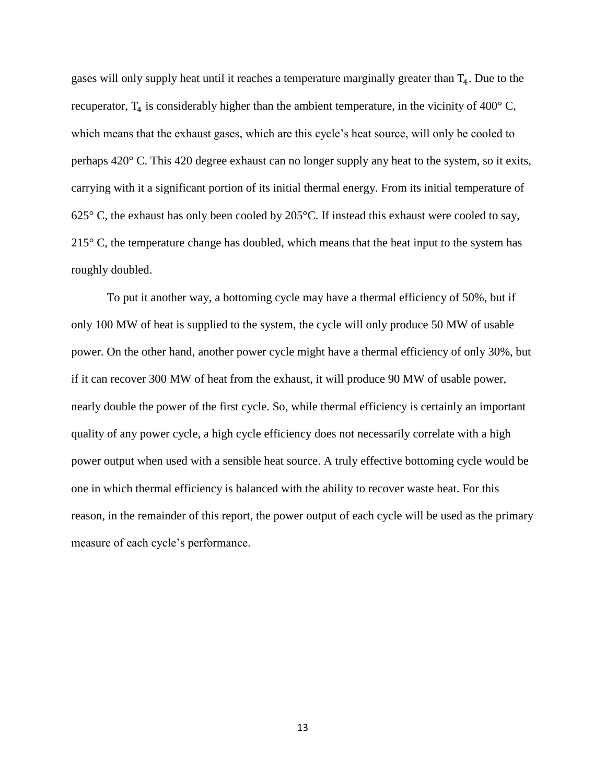gases will only supply heat until it reaches a temperature marginally greater than  $T<sub>4</sub>$ . Due to the recuperator,  $T_4$  is considerably higher than the ambient temperature, in the vicinity of 400° C, which means that the exhaust gases, which are this cycle's heat source, will only be cooled to perhaps 420° C. This 420 degree exhaust can no longer supply any heat to the system, so it exits, carrying with it a significant portion of its initial thermal energy. From its initial temperature of 625 $\degree$  C, the exhaust has only been cooled by 205 $\degree$ C. If instead this exhaust were cooled to say,  $215^{\circ}$  C, the temperature change has doubled, which means that the heat input to the system has roughly doubled.

To put it another way, a bottoming cycle may have a thermal efficiency of 50%, but if only 100 MW of heat is supplied to the system, the cycle will only produce 50 MW of usable power. On the other hand, another power cycle might have a thermal efficiency of only 30%, but if it can recover 300 MW of heat from the exhaust, it will produce 90 MW of usable power, nearly double the power of the first cycle. So, while thermal efficiency is certainly an important quality of any power cycle, a high cycle efficiency does not necessarily correlate with a high power output when used with a sensible heat source. A truly effective bottoming cycle would be one in which thermal efficiency is balanced with the ability to recover waste heat. For this reason, in the remainder of this report, the power output of each cycle will be used as the primary measure of each cycle's performance.

13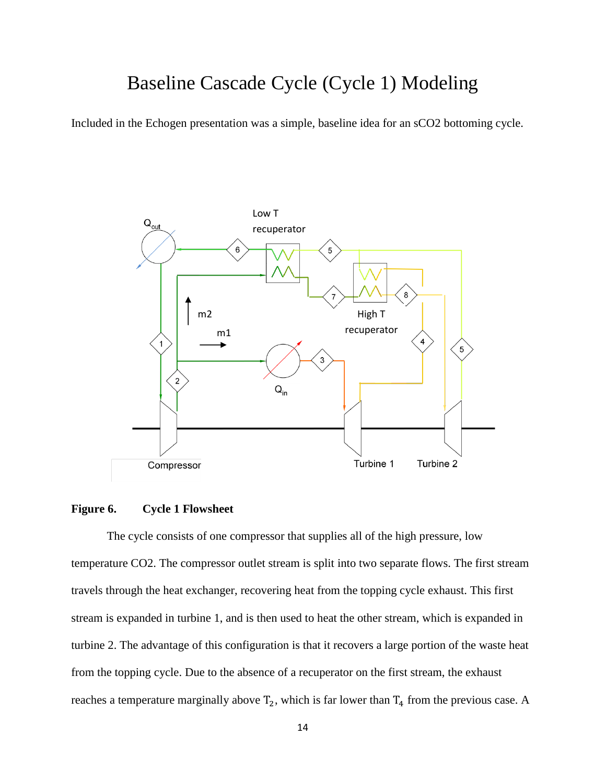# Baseline Cascade Cycle (Cycle 1) Modeling

Included in the Echogen presentation was a simple, baseline idea for an sCO2 bottoming cycle.



### **Figure 6. Cycle 1 Flowsheet**

The cycle consists of one compressor that supplies all of the high pressure, low temperature CO2. The compressor outlet stream is split into two separate flows. The first stream travels through the heat exchanger, recovering heat from the topping cycle exhaust. This first stream is expanded in turbine 1, and is then used to heat the other stream, which is expanded in turbine 2. The advantage of this configuration is that it recovers a large portion of the waste heat from the topping cycle. Due to the absence of a recuperator on the first stream, the exhaust reaches a temperature marginally above  $T_2$ , which is far lower than  $T_4$  from the previous case. A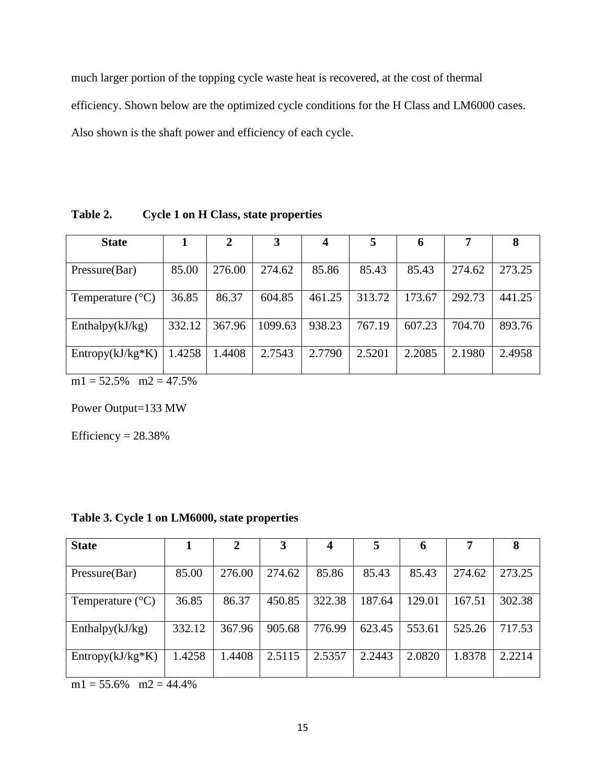much larger portion of the topping cycle waste heat is recovered, at the cost of thermal efficiency. Shown below are the optimized cycle conditions for the H Class and LM6000 cases. Also shown is the shaft power and efficiency of each cycle.

**State 1 2 3 4 5 6 7 8** Pressure(Bar) | 85.00 | 276.00 | 274.62 | 85.86 | 85.43 | 85.43 | 274.62 | 273.25 Temperature (°C) 36.85 86.37 604.85 461.25 313.72 173.67 292.73 441.25 Enthalpy(kJ/kg) 332.12 367.96 1099.63 938.23 767.19 607.23 704.70 893.76 Entropy(kJ/kg\*K) | 1.4258 | 1.4408 | 2.7543 | 2.7790 | 2.5201 | 2.2085 | 2.1980 | 2.4958

**Table 2. Cycle 1 on H Class, state properties**

 $m1 = 52.5\%$   $m2 = 47.5\%$ 

Power Output=133 MW

Efficiency  $= 28.38\%$ 

| <b>State</b>              |        |        | 3      |        | 5      | 6      | 7      | 8      |
|---------------------------|--------|--------|--------|--------|--------|--------|--------|--------|
|                           |        |        |        |        |        |        |        |        |
| Pressure(Bar)             | 85.00  | 276.00 | 274.62 | 85.86  | 85.43  | 85.43  | 274.62 | 273.25 |
|                           |        |        |        |        |        |        |        |        |
| Temperature $(^{\circ}C)$ | 36.85  | 86.37  | 450.85 | 322.38 | 187.64 | 129.01 | 167.51 | 302.38 |
|                           |        |        |        |        |        |        |        |        |
| Enthalpy $(kJ/kg)$        | 332.12 | 367.96 | 905.68 | 776.99 | 623.45 | 553.61 | 525.26 | 717.53 |
|                           |        |        |        |        |        |        |        |        |
| $Entropy(kJ/kg*K)$        | 1.4258 | 1.4408 | 2.5115 | 2.5357 | 2.2443 | 2.0820 | 1.8378 | 2.2214 |
|                           |        |        |        |        |        |        |        |        |

### **Table 3. Cycle 1 on LM6000, state properties**

 $m1 = 55.6\%$   $m2 = 44.4\%$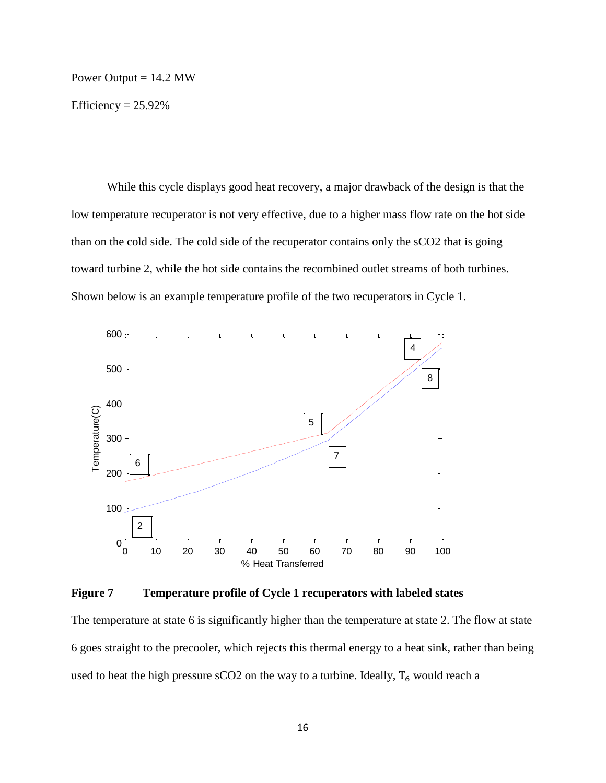#### Power Output  $= 14.2$  MW

Efficiency  $= 25.92\%$ 

While this cycle displays good heat recovery, a major drawback of the design is that the low temperature recuperator is not very effective, due to a higher mass flow rate on the hot side than on the cold side. The cold side of the recuperator contains only the sCO2 that is going toward turbine 2, while the hot side contains the recombined outlet streams of both turbines. Shown below is an example temperature profile of the two recuperators in Cycle 1.



**Figure 7 Temperature profile of Cycle 1 recuperators with labeled states**

The temperature at state 6 is significantly higher than the temperature at state 2. The flow at state 6 goes straight to the precooler, which rejects this thermal energy to a heat sink, rather than being used to heat the high pressure sCO2 on the way to a turbine. Ideally,  $T_6$  would reach a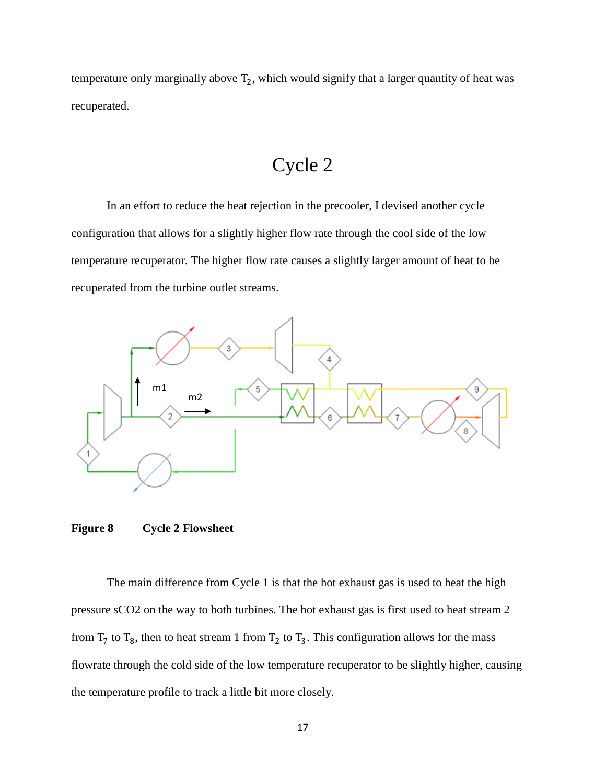temperature only marginally above  $T_2$ , which would signify that a larger quantity of heat was recuperated.

# Cycle 2

In an effort to reduce the heat rejection in the precooler, I devised another cycle configuration that allows for a slightly higher flow rate through the cool side of the low temperature recuperator. The higher flow rate causes a slightly larger amount of heat to be recuperated from the turbine outlet streams.



**Figure 8 Cycle 2 Flowsheet**

The main difference from Cycle 1 is that the hot exhaust gas is used to heat the high pressure sCO2 on the way to both turbines. The hot exhaust gas is first used to heat stream 2 from  $T_7$  to  $T_8$ , then to heat stream 1 from  $T_2$  to  $T_3$ . This configuration allows for the mass flowrate through the cold side of the low temperature recuperator to be slightly higher, causing the temperature profile to track a little bit more closely.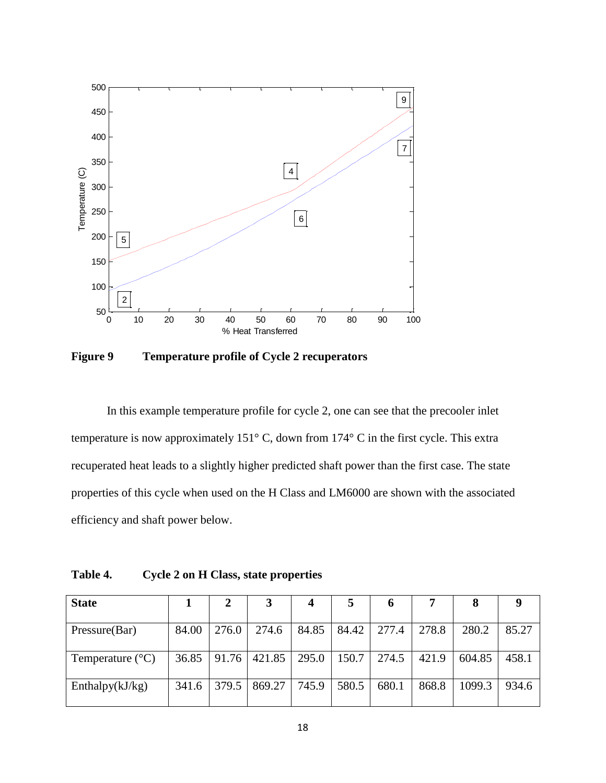

**Figure 9 Temperature profile of Cycle 2 recuperators** 

In this example temperature profile for cycle 2, one can see that the precooler inlet temperature is now approximately 151° C, down from 174° C in the first cycle. This extra recuperated heat leads to a slightly higher predicted shaft power than the first case. The state properties of this cycle when used on the H Class and LM6000 are shown with the associated efficiency and shaft power below.

**Table 4. Cycle 2 on H Class, state properties**

| <b>State</b>              |       | 2     |        | 4     | $\mathbf{z}$ | O     |       | 8      | 9     |
|---------------------------|-------|-------|--------|-------|--------------|-------|-------|--------|-------|
| Pressure(Bar)             | 84.00 | 276.0 | 274.6  | 84.85 | 84.42        | 277.4 | 278.8 | 280.2  | 85.27 |
| Temperature $(^{\circ}C)$ | 36.85 | 91.76 | 421.85 | 295.0 | 150.7        | 274.5 | 421.9 | 604.85 | 458.1 |
| Enthalpy $(kJ/kg)$        | 341.6 | 379.5 | 869.27 | 745.9 | 580.5        | 680.1 | 868.8 | 1099.3 | 934.6 |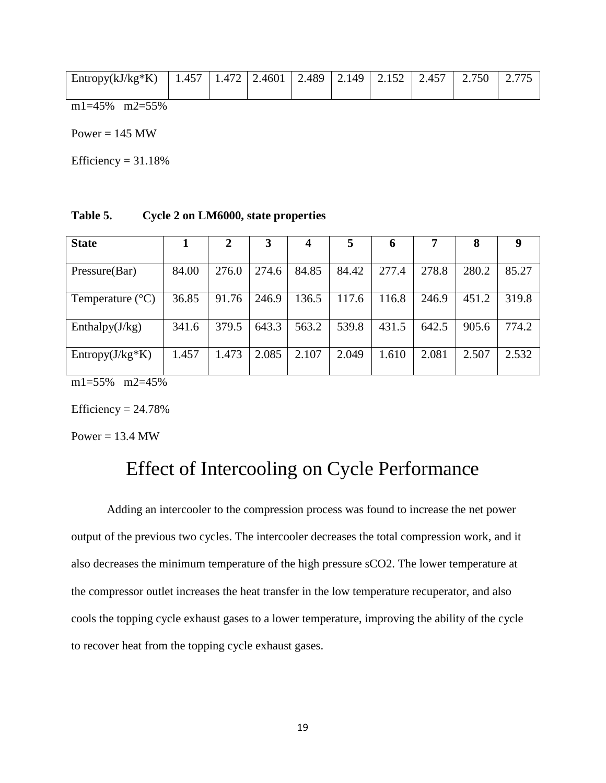| Entropy(kJ/kg*K)   1.457   1.472   2.4601   2.489   2.149   2.152   2.457   2.750 |  |  |  |  |  |
|-----------------------------------------------------------------------------------|--|--|--|--|--|
|                                                                                   |  |  |  |  |  |

m1=45% m2=55%

Power  $= 145$  MW

Efficiency  $= 31.18%$ 

**Table 5. Cycle 2 on LM6000, state properties**

| <b>State</b>              |       | 2     | 3     | $\boldsymbol{4}$ | 5     | 6     |       | 8     | 9     |
|---------------------------|-------|-------|-------|------------------|-------|-------|-------|-------|-------|
| Pressure(Bar)             | 84.00 | 276.0 | 274.6 | 84.85            | 84.42 | 277.4 | 278.8 | 280.2 | 85.27 |
| Temperature $(^{\circ}C)$ | 36.85 | 91.76 | 246.9 | 136.5            | 117.6 | 116.8 | 246.9 | 451.2 | 319.8 |
| Enthalpy $(J/kg)$         | 341.6 | 379.5 | 643.3 | 563.2            | 539.8 | 431.5 | 642.5 | 905.6 | 774.2 |
| $Entropy(J/kg*K)$         | 1.457 | 1.473 | 2.085 | 2.107            | 2.049 | 1.610 | 2.081 | 2.507 | 2.532 |

m1=55% m2=45%

Efficiency  $= 24.78%$ 

Power =  $13.4$  MW

# Effect of Intercooling on Cycle Performance

Adding an intercooler to the compression process was found to increase the net power output of the previous two cycles. The intercooler decreases the total compression work, and it also decreases the minimum temperature of the high pressure sCO2. The lower temperature at the compressor outlet increases the heat transfer in the low temperature recuperator, and also cools the topping cycle exhaust gases to a lower temperature, improving the ability of the cycle to recover heat from the topping cycle exhaust gases.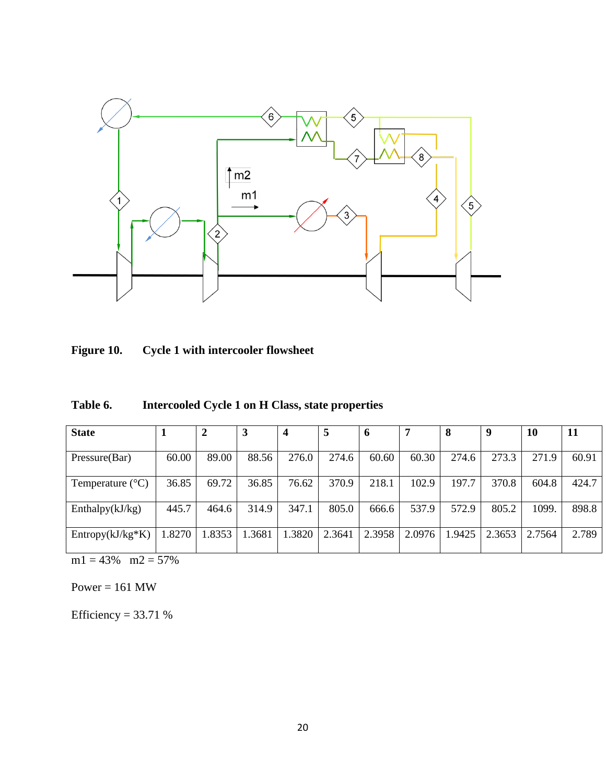

| Figure 10.<br><b>Cycle 1 with intercooler flowsheet</b> |  |
|---------------------------------------------------------|--|
|---------------------------------------------------------|--|

| Table 6. | Intercooled Cycle 1 on H Class, state properties |  |
|----------|--------------------------------------------------|--|
|----------|--------------------------------------------------|--|

| <b>State</b>              |       | 2      | 3      | 4      | 5      | 6      |        | 8      | 9      | 10     | 11    |
|---------------------------|-------|--------|--------|--------|--------|--------|--------|--------|--------|--------|-------|
|                           |       |        |        |        |        |        |        |        |        |        |       |
| Pressure(Bar)             | 60.00 | 89.00  | 88.56  | 276.0  | 274.6  | 60.60  | 60.30  | 274.6  | 273.3  | 271.9  | 60.91 |
| Temperature $(^{\circ}C)$ | 36.85 | 69.72  | 36.85  | 76.62  | 370.9  | 218.1  | 102.9  | 197.7  | 370.8  | 604.8  | 424.7 |
| Enthalpy $(kJ/kg)$        | 445.7 | 464.6  | 314.9  | 347.1  | 805.0  | 666.6  | 537.9  | 572.9  | 805.2  | 1099.  | 898.8 |
| $Entropy(kJ/kg*K)$        | .8270 | 1.8353 | 1.3681 | 1.3820 | 2.3641 | 2.3958 | 2.0976 | 1.9425 | 2.3653 | 2.7564 | 2.789 |

 $m1 = 43\%$   $m2 = 57\%$ 

Power =  $161$  MW

Efficiency =  $33.71%$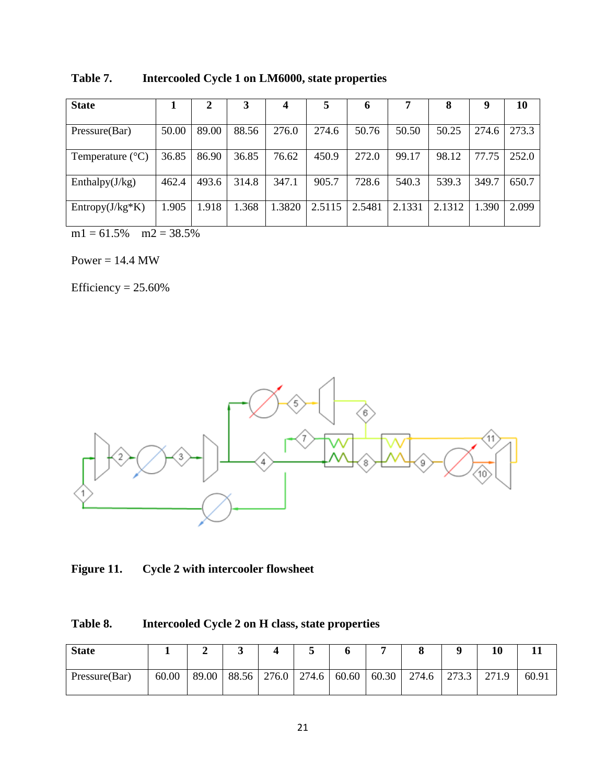| <b>State</b>              |       | 2     | 3     | 4      |        | 6      |        | 8      | 9     | 10    |
|---------------------------|-------|-------|-------|--------|--------|--------|--------|--------|-------|-------|
| Pressure(Bar)             | 50.00 | 89.00 | 88.56 | 276.0  | 274.6  | 50.76  | 50.50  | 50.25  | 274.6 | 273.3 |
| Temperature $(^{\circ}C)$ | 36.85 | 86.90 | 36.85 | 76.62  | 450.9  | 272.0  | 99.17  | 98.12  | 77.75 | 252.0 |
| Enthalpy $(J/kg)$         | 462.4 | 493.6 | 314.8 | 347.1  | 905.7  | 728.6  | 540.3  | 539.3  | 349.7 | 650.7 |
| $Entropy(J/kg*K)$         | 1.905 | 1.918 | 1.368 | 1.3820 | 2.5115 | 2.5481 | 2.1331 | 2.1312 | 1.390 | 2.099 |

**Table 7. Intercooled Cycle 1 on LM6000, state properties**

 $m1 = 61.5\%$   $m2 = 38.5\%$ 

 $Power = 14.4 MW$ 

Efficiency  $= 25.60\%$ 



**Figure 11. Cycle 2 with intercooler flowsheet**

| Table 8. |  |  | Intercooled Cycle 2 on H class, state properties |
|----------|--|--|--------------------------------------------------|
|----------|--|--|--------------------------------------------------|

| <b>State</b>  |       |       | ັ     |                 |       |       |       |       | 10    |       |
|---------------|-------|-------|-------|-----------------|-------|-------|-------|-------|-------|-------|
| Pressure(Bar) | 60.00 | 89.00 | 88.56 | $276.0$   274.6 | 60.60 | 60.30 | 274.6 | 273.3 | 271.9 | 60.91 |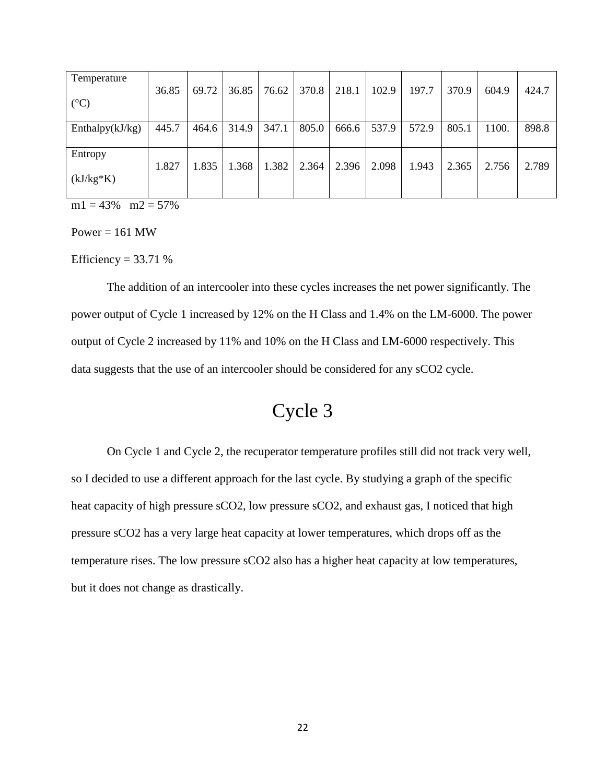| Temperature        |       |       |       |       |       |       |       |       |       |       |       |
|--------------------|-------|-------|-------|-------|-------|-------|-------|-------|-------|-------|-------|
|                    | 36.85 | 69.72 | 36.85 | 76.62 | 370.8 | 218.1 | 102.9 | 197.7 | 370.9 | 604.9 | 424.7 |
| $({}^{\circ}C)$    |       |       |       |       |       |       |       |       |       |       |       |
| Enthalpy $(kJ/kg)$ | 445.7 | 464.6 | 314.9 | 347.1 | 805.0 | 666.6 | 537.9 | 572.9 | 805.1 | 1100. | 898.8 |
|                    |       |       |       |       |       |       |       |       |       |       |       |
| Entropy            |       |       |       |       |       |       |       |       |       |       |       |
|                    | 1.827 | 1.835 | 1.368 | 1.382 | 2.364 | 2.396 | 2.098 | 1.943 | 2.365 | 2.756 | 2.789 |
| $(kJ/kg*K)$        |       |       |       |       |       |       |       |       |       |       |       |
|                    |       |       |       |       |       |       |       |       |       |       |       |

 $m1 = 43\%$   $m2 = 57\%$ 

Power =  $161$  MW

Efficiency =  $33.71%$ 

The addition of an intercooler into these cycles increases the net power significantly. The power output of Cycle 1 increased by 12% on the H Class and 1.4% on the LM-6000. The power output of Cycle 2 increased by 11% and 10% on the H Class and LM-6000 respectively. This data suggests that the use of an intercooler should be considered for any sCO2 cycle.

# Cycle 3

On Cycle 1 and Cycle 2, the recuperator temperature profiles still did not track very well, so I decided to use a different approach for the last cycle. By studying a graph of the specific heat capacity of high pressure sCO2, low pressure sCO2, and exhaust gas, I noticed that high pressure sCO2 has a very large heat capacity at lower temperatures, which drops off as the temperature rises. The low pressure sCO2 also has a higher heat capacity at low temperatures, but it does not change as drastically.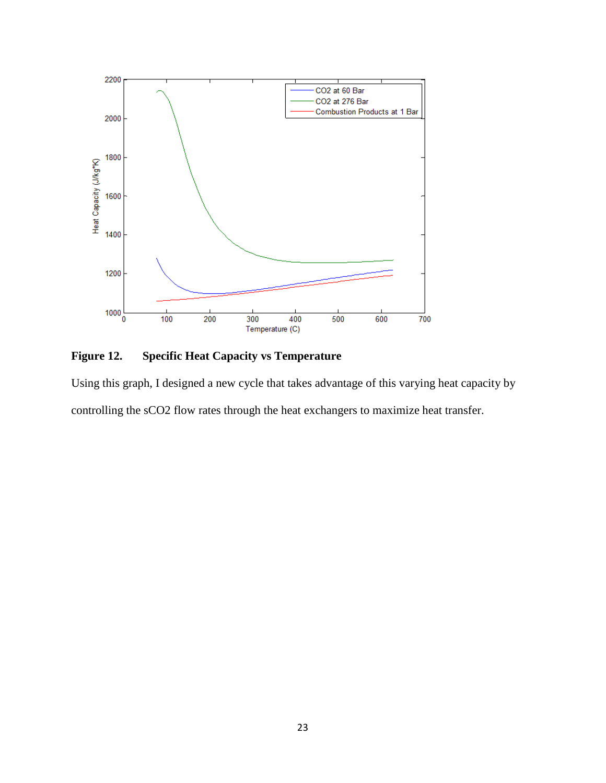

**Figure 12. Specific Heat Capacity vs Temperature**

Using this graph, I designed a new cycle that takes advantage of this varying heat capacity by controlling the sCO2 flow rates through the heat exchangers to maximize heat transfer.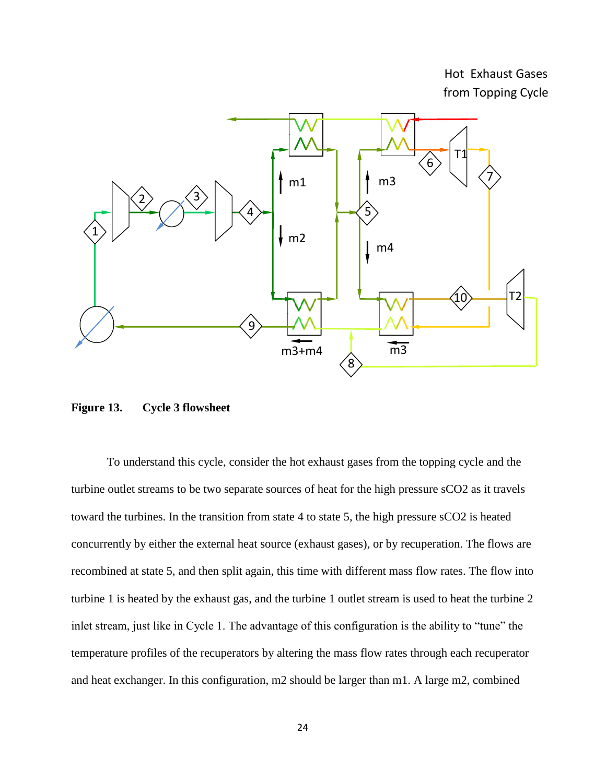Hot Exhaust Gases from Topping Cycle



**Figure 13. Cycle 3 flowsheet**

To understand this cycle, consider the hot exhaust gases from the topping cycle and the turbine outlet streams to be two separate sources of heat for the high pressure sCO2 as it travels toward the turbines. In the transition from state 4 to state 5, the high pressure sCO2 is heated concurrently by either the external heat source (exhaust gases), or by recuperation. The flows are recombined at state 5, and then split again, this time with different mass flow rates. The flow into turbine 1 is heated by the exhaust gas, and the turbine 1 outlet stream is used to heat the turbine 2 inlet stream, just like in Cycle 1. The advantage of this configuration is the ability to "tune" the temperature profiles of the recuperators by altering the mass flow rates through each recuperator and heat exchanger. In this configuration, m2 should be larger than m1. A large m2, combined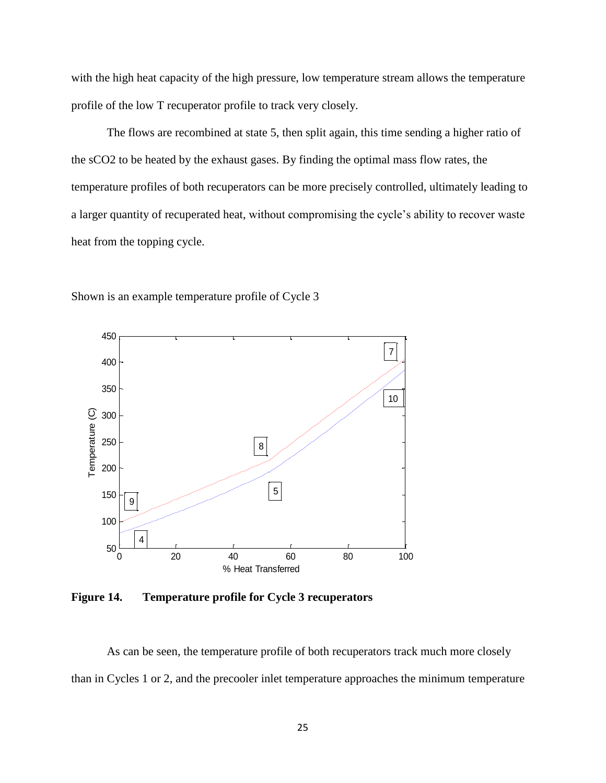with the high heat capacity of the high pressure, low temperature stream allows the temperature profile of the low T recuperator profile to track very closely.

The flows are recombined at state 5, then split again, this time sending a higher ratio of the sCO2 to be heated by the exhaust gases. By finding the optimal mass flow rates, the temperature profiles of both recuperators can be more precisely controlled, ultimately leading to a larger quantity of recuperated heat, without compromising the cycle's ability to recover waste heat from the topping cycle.



Shown is an example temperature profile of Cycle 3

**Figure 14. Temperature profile for Cycle 3 recuperators** 

As can be seen, the temperature profile of both recuperators track much more closely than in Cycles 1 or 2, and the precooler inlet temperature approaches the minimum temperature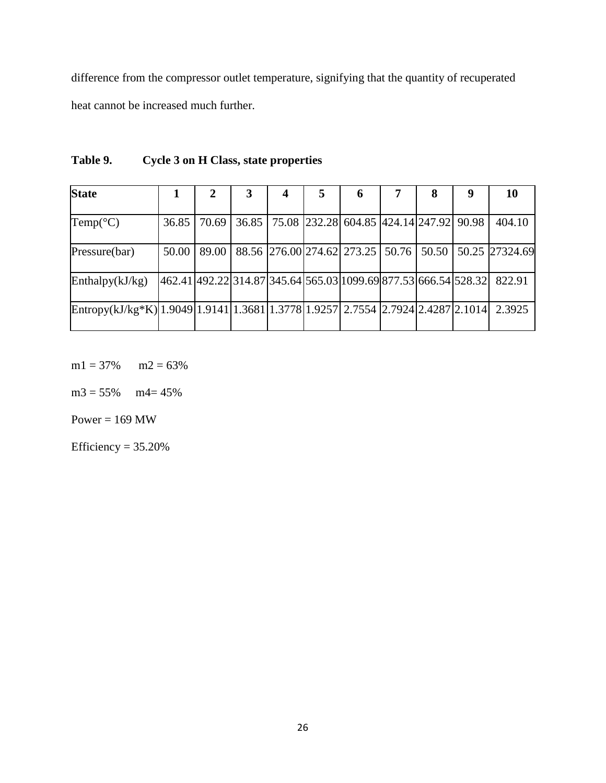difference from the compressor outlet temperature, signifying that the quantity of recuperated heat cannot be increased much further.

| <b>State</b>                                                                              |       |       | 3 | 4 | 5 | 6                                                               | 8 | 9 | 10                                                    |
|-------------------------------------------------------------------------------------------|-------|-------|---|---|---|-----------------------------------------------------------------|---|---|-------------------------------------------------------|
| Temp(°C)                                                                                  | 36.85 | 70.69 |   |   |   | 36.85   75.08   232.28   604.85   424.14   247.92   90.98       |   |   | 404.10                                                |
| Pressure(bar)                                                                             | 50.00 | 89.00 |   |   |   |                                                                 |   |   | 88.56 276.00 274.62 273.25 50.76 50.50 50.25 27324.69 |
| Enthalpy(kJ/kg)                                                                           |       |       |   |   |   | 462.41 492.22 314.87 345.64 565.03 1099.69 877.53 666.54 528.32 |   |   | 822.91                                                |
| $\text{Entropy}(kJ/kg*K) 1.9049 1.9141 1.3681 1.3778 1.9257 2.7554 2.7924 2.4287 2.1014 $ |       |       |   |   |   |                                                                 |   |   | 2.3925                                                |

**Table 9. Cycle 3 on H Class, state properties**

 $m1 = 37\%$   $m2 = 63\%$ 

 $m3 = 55\%$   $m4 = 45\%$ 

Power =  $169$  MW

Efficiency =  $35.20\%$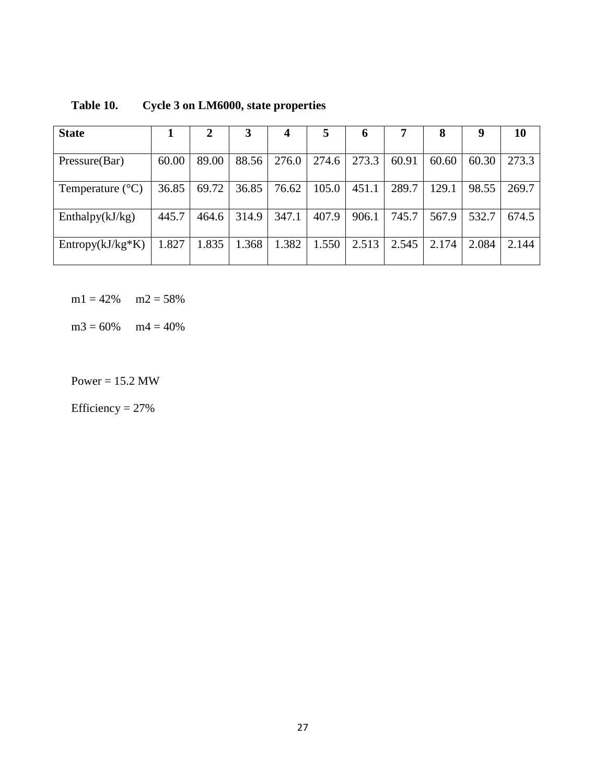| <b>State</b>              |       | 2     | 3     | $\boldsymbol{4}$ | 5     | 6     |       | 8     | 9     | 10    |
|---------------------------|-------|-------|-------|------------------|-------|-------|-------|-------|-------|-------|
| Pressure(Bar)             | 60.00 | 89.00 | 88.56 | 276.0            | 274.6 | 273.3 | 60.91 | 60.60 | 60.30 | 273.3 |
| Temperature $(^{\circ}C)$ | 36.85 | 69.72 | 36.85 | 76.62            | 105.0 | 451.1 | 289.7 | 129.1 | 98.55 | 269.7 |
| Enthalpy $(kJ/kg)$        | 445.7 | 464.6 | 314.9 | 347.1            | 407.9 | 906.1 | 745.7 | 567.9 | 532.7 | 674.5 |
| $Entropy(kJ/kg*K)$        | 1.827 | 1.835 | 1.368 | 1.382            | 1.550 | 2.513 | 2.545 | 2.174 | 2.084 | 2.144 |

**Table 10. Cycle 3 on LM6000, state properties**

 $m1 = 42\%$   $m2 = 58\%$ 

 $m3 = 60\%$   $m4 = 40\%$ 

Power =  $15.2$  MW

Efficiency  $= 27\%$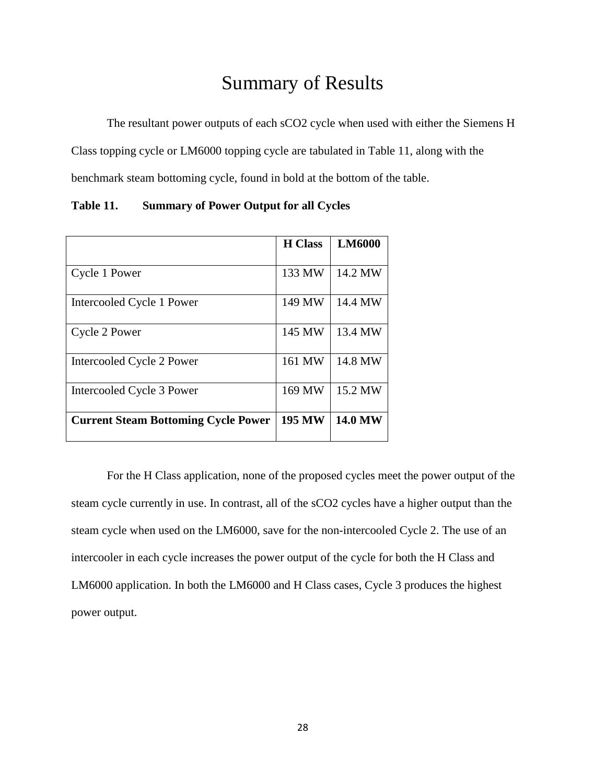# Summary of Results

The resultant power outputs of each sCO2 cycle when used with either the Siemens H

Class topping cycle or LM6000 topping cycle are tabulated in Table 11, along with the

benchmark steam bottoming cycle, found in bold at the bottom of the table.

|                                            | <b>H</b> Class | <b>LM6000</b>  |
|--------------------------------------------|----------------|----------------|
|                                            |                |                |
| Cycle 1 Power                              | 133 MW         | 14.2 MW        |
| Intercooled Cycle 1 Power                  | 149 MW         | 14.4 MW        |
| Cycle 2 Power                              | 145 MW         | 13.4 MW        |
| Intercooled Cycle 2 Power                  | 161 MW         | 14.8 MW        |
| Intercooled Cycle 3 Power                  | 169 MW         | 15.2 MW        |
| <b>Current Steam Bottoming Cycle Power</b> | <b>195 MW</b>  | <b>14.0 MW</b> |

**Table 11. Summary of Power Output for all Cycles**

For the H Class application, none of the proposed cycles meet the power output of the steam cycle currently in use. In contrast, all of the sCO2 cycles have a higher output than the steam cycle when used on the LM6000, save for the non-intercooled Cycle 2. The use of an intercooler in each cycle increases the power output of the cycle for both the H Class and LM6000 application. In both the LM6000 and H Class cases, Cycle 3 produces the highest power output.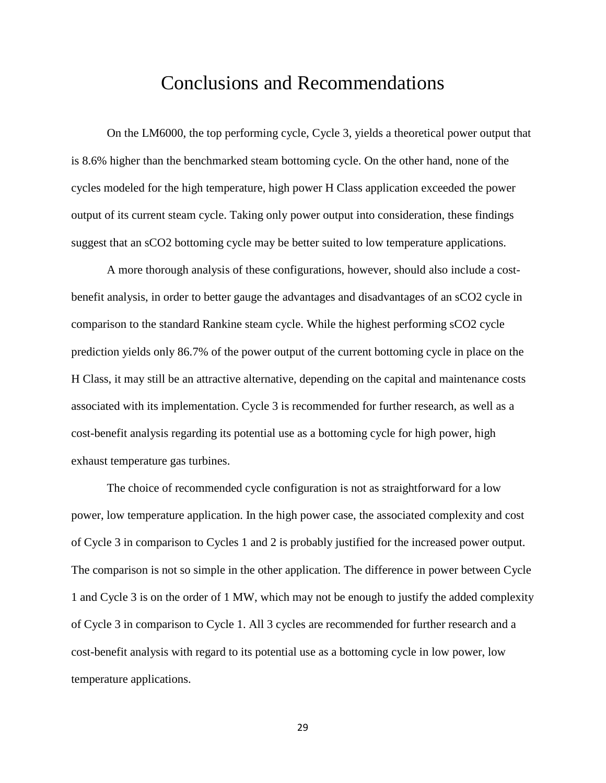### Conclusions and Recommendations

On the LM6000, the top performing cycle, Cycle 3, yields a theoretical power output that is 8.6% higher than the benchmarked steam bottoming cycle. On the other hand, none of the cycles modeled for the high temperature, high power H Class application exceeded the power output of its current steam cycle. Taking only power output into consideration, these findings suggest that an sCO2 bottoming cycle may be better suited to low temperature applications.

A more thorough analysis of these configurations, however, should also include a costbenefit analysis, in order to better gauge the advantages and disadvantages of an sCO2 cycle in comparison to the standard Rankine steam cycle. While the highest performing sCO2 cycle prediction yields only 86.7% of the power output of the current bottoming cycle in place on the H Class, it may still be an attractive alternative, depending on the capital and maintenance costs associated with its implementation. Cycle 3 is recommended for further research, as well as a cost-benefit analysis regarding its potential use as a bottoming cycle for high power, high exhaust temperature gas turbines.

The choice of recommended cycle configuration is not as straightforward for a low power, low temperature application. In the high power case, the associated complexity and cost of Cycle 3 in comparison to Cycles 1 and 2 is probably justified for the increased power output. The comparison is not so simple in the other application. The difference in power between Cycle 1 and Cycle 3 is on the order of 1 MW, which may not be enough to justify the added complexity of Cycle 3 in comparison to Cycle 1. All 3 cycles are recommended for further research and a cost-benefit analysis with regard to its potential use as a bottoming cycle in low power, low temperature applications.

29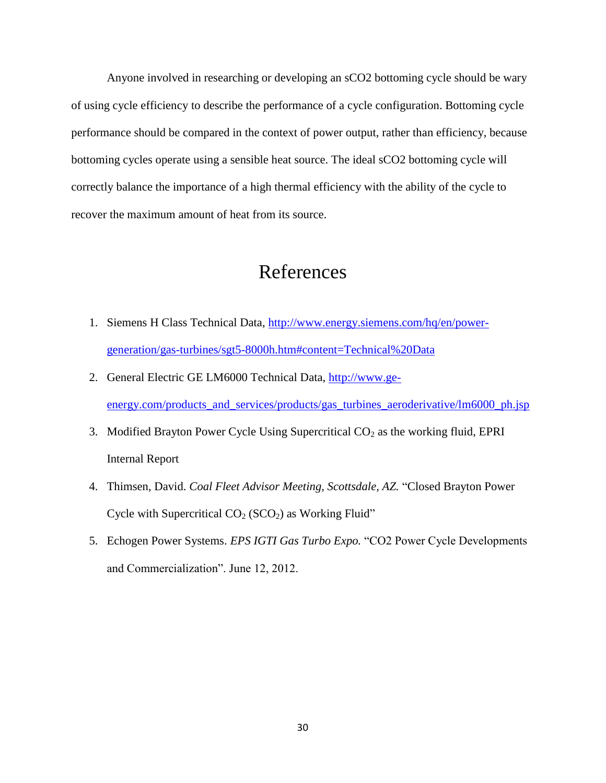Anyone involved in researching or developing an sCO2 bottoming cycle should be wary of using cycle efficiency to describe the performance of a cycle configuration. Bottoming cycle performance should be compared in the context of power output, rather than efficiency, because bottoming cycles operate using a sensible heat source. The ideal sCO2 bottoming cycle will correctly balance the importance of a high thermal efficiency with the ability of the cycle to recover the maximum amount of heat from its source.

### References

- 1. Siemens H Class Technical Data, [http://www.energy.siemens.com/hq/en/power](http://www.energy.siemens.com/hq/en/power-generation/gas-turbines/sgt5-8000h.htm#content=Technical%20Data)[generation/gas-turbines/sgt5-8000h.htm#content=Technical%20Data](http://www.energy.siemens.com/hq/en/power-generation/gas-turbines/sgt5-8000h.htm#content=Technical%20Data)
- 2. General Electric GE LM6000 Technical Data, [http://www.ge](http://www.ge-energy.com/products_and_services/products/gas_turbines_aeroderivative/lm6000_ph.jsp)[energy.com/products\\_and\\_services/products/gas\\_turbines\\_aeroderivative/lm6000\\_ph.jsp](http://www.ge-energy.com/products_and_services/products/gas_turbines_aeroderivative/lm6000_ph.jsp)
- 3. Modified Brayton Power Cycle Using Supercritical  $CO<sub>2</sub>$  as the working fluid, EPRI Internal Report
- 4. Thimsen, David. *Coal Fleet Advisor Meeting, Scottsdale, AZ.* "Closed Brayton Power Cycle with Supercritical  $CO<sub>2</sub> (SCO<sub>2</sub>)$  as Working Fluid"
- 5. Echogen Power Systems. *EPS IGTI Gas Turbo Expo.* "CO2 Power Cycle Developments and Commercialization". June 12, 2012.